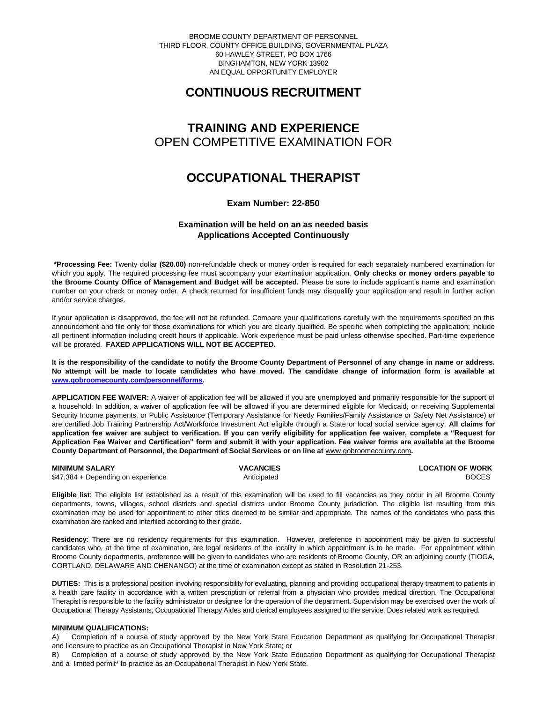BROOME COUNTY DEPARTMENT OF PERSONNEL THIRD FLOOR, COUNTY OFFICE BUILDING, GOVERNMENTAL PLAZA 60 HAWLEY STREET, PO BOX 1766 BINGHAMTON, NEW YORK 13902 AN EQUAL OPPORTUNITY EMPLOYER

# **CONTINUOUS RECRUITMENT**

# **TRAINING AND EXPERIENCE** OPEN COMPETITIVE EXAMINATION FOR

## **OCCUPATIONAL THERAPIST**

## **Exam Number: 22-850**

## **Examination will be held on an as needed basis Applications Accepted Continuously**

**\*Processing Fee:** Twenty dollar **(\$20.00)** non-refundable check or money order is required for each separately numbered examination for which you apply. The required processing fee must accompany your examination application. **Only checks or money orders payable to the Broome County Office of Management and Budget will be accepted.** Please be sure to include applicant's name and examination number on your check or money order. A check returned for insufficient funds may disqualify your application and result in further action and/or service charges.

If your application is disapproved, the fee will not be refunded. Compare your qualifications carefully with the requirements specified on this announcement and file only for those examinations for which you are clearly qualified. Be specific when completing the application; include all pertinent information including credit hours if applicable. Work experience must be paid unless otherwise specified. Part-time experience will be prorated. **FAXED APPLICATIONS WILL NOT BE ACCEPTED.** 

**It is the responsibility of the candidate to notify the Broome County Department of Personnel of any change in name or address. No attempt will be made to locate candidates who have moved. The candidate change of information form is available at [www.gobroomecounty.com/personnel/forms.](http://www.gobroomecounty.com/personnel/forms)** 

**APPLICATION FEE WAIVER:** A waiver of application fee will be allowed if you are unemployed and primarily responsible for the support of a household. In addition, a waiver of application fee will be allowed if you are determined eligible for Medicaid, or receiving Supplemental Security Income payments, or Public Assistance (Temporary Assistance for Needy Families/Family Assistance or Safety Net Assistance) or are certified Job Training Partnership Act/Workforce Investment Act eligible through a State or local social service agency. **All claims for application fee waiver are subject to verification. If you can verify eligibility for application fee waiver, complete a "Request for Application Fee Waiver and Certification" form and submit it with your application. Fee waiver forms are available at the Broome County Department of Personnel, the Department of Social Services or on line at** www.gobroomecounty.com**.** 

**MINIMUM SALARY CONSUMINITY OF WORK CONSUMINIMUM SALARY CONSUMINIMUM SALARY CONSUMINIMUM OF WORK** \$47,384 + Depending on experience Anticipated Anticipated BOCES

**Eligible list**: The eligible list established as a result of this examination will be used to fill vacancies as they occur in all Broome County departments, towns, villages, school districts and special districts under Broome County jurisdiction. The eligible list resulting from this examination may be used for appointment to other titles deemed to be similar and appropriate. The names of the candidates who pass this examination are ranked and interfiled according to their grade.

**Residency**: There are no residency requirements for this examination. However, preference in appointment may be given to successful candidates who, at the time of examination, are legal residents of the locality in which appointment is to be made. For appointment within Broome County departments, preference **will** be given to candidates who are residents of Broome County, OR an adjoining county (TIOGA, CORTLAND, DELAWARE AND CHENANGO) at the time of examination except as stated in Resolution 21-253.

**DUTIES:** This is a professional position involving responsibility for evaluating, planning and providing occupational therapy treatment to patients in a health care facility in accordance with a written prescription or referral from a physician who provides medical direction. The Occupational Therapist is responsible to the facility administrator or designee for the operation of the department. Supervision may be exercised over the work of Occupational Therapy Assistants, Occupational Therapy Aides and clerical employees assigned to the service. Does related work as required.

### **MINIMUM QUALIFICATIONS:**

A) Completion of a course of study approved by the New York State Education Department as qualifying for Occupational Therapist and licensure to practice as an Occupational Therapist in New York State; or

B) Completion of a course of study approved by the New York State Education Department as qualifying for Occupational Therapist and a limited permit\* to practice as an Occupational Therapist in New York State.